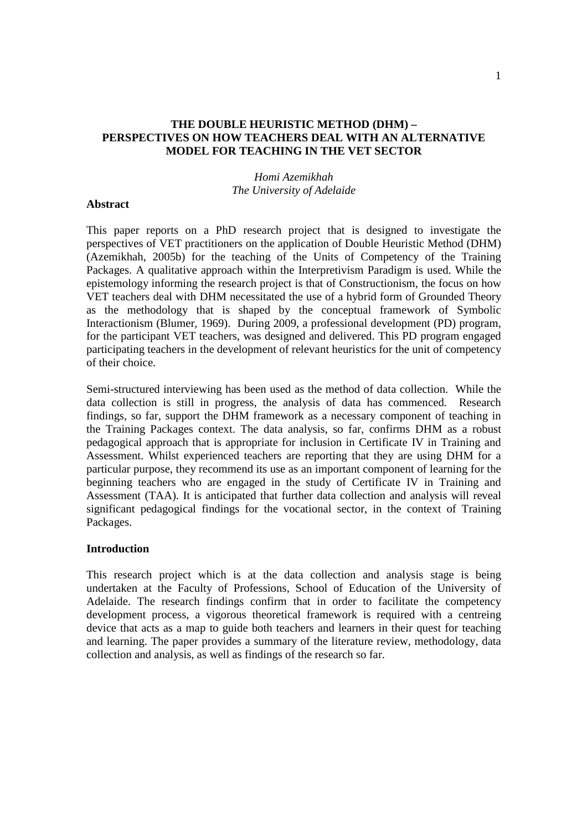# **THE DOUBLE HEURISTIC METHOD (DHM) – PERSPECTIVES ON HOW TEACHERS DEAL WITH AN ALTERNATIVE MODEL FOR TEACHING IN THE VET SECTOR**

# *Homi Azemikhah The University of Adelaide*

### **Abstract**

This paper reports on a PhD research project that is designed to investigate the perspectives of VET practitioners on the application of Double Heuristic Method (DHM) (Azemikhah, 2005b) for the teaching of the Units of Competency of the Training Packages. A qualitative approach within the Interpretivism Paradigm is used. While the epistemology informing the research project is that of Constructionism, the focus on how VET teachers deal with DHM necessitated the use of a hybrid form of Grounded Theory as the methodology that is shaped by the conceptual framework of Symbolic Interactionism (Blumer, 1969). During 2009, a professional development (PD) program, for the participant VET teachers, was designed and delivered. This PD program engaged participating teachers in the development of relevant heuristics for the unit of competency of their choice.

Semi-structured interviewing has been used as the method of data collection. While the data collection is still in progress, the analysis of data has commenced. Research findings, so far, support the DHM framework as a necessary component of teaching in the Training Packages context. The data analysis, so far, confirms DHM as a robust pedagogical approach that is appropriate for inclusion in Certificate IV in Training and Assessment. Whilst experienced teachers are reporting that they are using DHM for a particular purpose, they recommend its use as an important component of learning for the beginning teachers who are engaged in the study of Certificate IV in Training and Assessment (TAA). It is anticipated that further data collection and analysis will reveal significant pedagogical findings for the vocational sector, in the context of Training Packages.

## **Introduction**

This research project which is at the data collection and analysis stage is being undertaken at the Faculty of Professions, School of Education of the University of Adelaide. The research findings confirm that in order to facilitate the competency development process, a vigorous theoretical framework is required with a centreing device that acts as a map to guide both teachers and learners in their quest for teaching and learning. The paper provides a summary of the literature review, methodology, data collection and analysis, as well as findings of the research so far.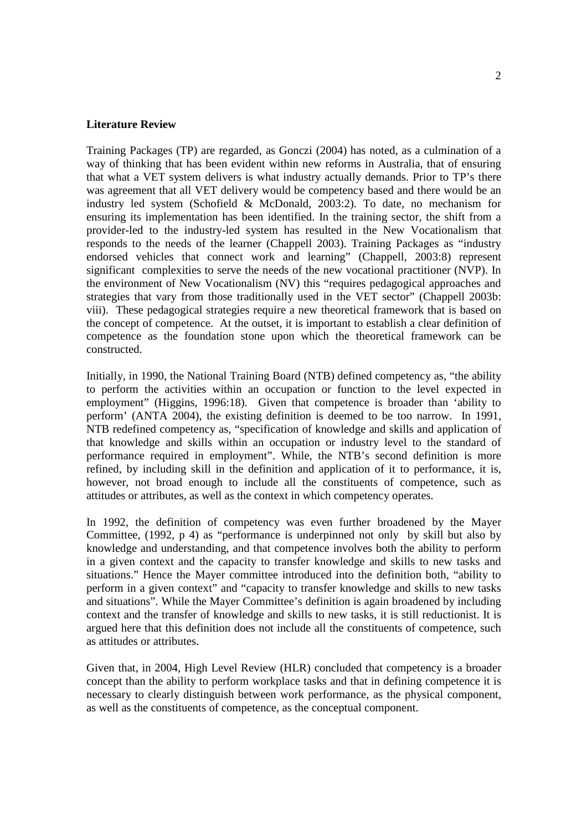### **Literature Review**

Training Packages (TP) are regarded, as Gonczi (2004) has noted, as a culmination of a way of thinking that has been evident within new reforms in Australia, that of ensuring that what a VET system delivers is what industry actually demands. Prior to TP's there was agreement that all VET delivery would be competency based and there would be an industry led system (Schofield & McDonald, 2003:2). To date, no mechanism for ensuring its implementation has been identified. In the training sector, the shift from a provider-led to the industry-led system has resulted in the New Vocationalism that responds to the needs of the learner (Chappell 2003). Training Packages as "industry endorsed vehicles that connect work and learning" (Chappell, 2003:8) represent significant complexities to serve the needs of the new vocational practitioner (NVP). In the environment of New Vocationalism (NV) this "requires pedagogical approaches and strategies that vary from those traditionally used in the VET sector" (Chappell 2003b: viii). These pedagogical strategies require a new theoretical framework that is based on the concept of competence. At the outset, it is important to establish a clear definition of competence as the foundation stone upon which the theoretical framework can be constructed.

Initially, in 1990, the National Training Board (NTB) defined competency as, "the ability to perform the activities within an occupation or function to the level expected in employment" (Higgins, 1996:18). Given that competence is broader than 'ability to perform' (ANTA 2004), the existing definition is deemed to be too narrow. In 1991, NTB redefined competency as, "specification of knowledge and skills and application of that knowledge and skills within an occupation or industry level to the standard of performance required in employment". While, the NTB's second definition is more refined, by including skill in the definition and application of it to performance, it is, however, not broad enough to include all the constituents of competence, such as attitudes or attributes, as well as the context in which competency operates.

In 1992, the definition of competency was even further broadened by the Mayer Committee, (1992, p 4) as "performance is underpinned not only by skill but also by knowledge and understanding, and that competence involves both the ability to perform in a given context and the capacity to transfer knowledge and skills to new tasks and situations." Hence the Mayer committee introduced into the definition both, "ability to perform in a given context" and "capacity to transfer knowledge and skills to new tasks and situations". While the Mayer Committee's definition is again broadened by including context and the transfer of knowledge and skills to new tasks, it is still reductionist. It is argued here that this definition does not include all the constituents of competence, such as attitudes or attributes.

Given that, in 2004, High Level Review (HLR) concluded that competency is a broader concept than the ability to perform workplace tasks and that in defining competence it is necessary to clearly distinguish between work performance, as the physical component, as well as the constituents of competence, as the conceptual component.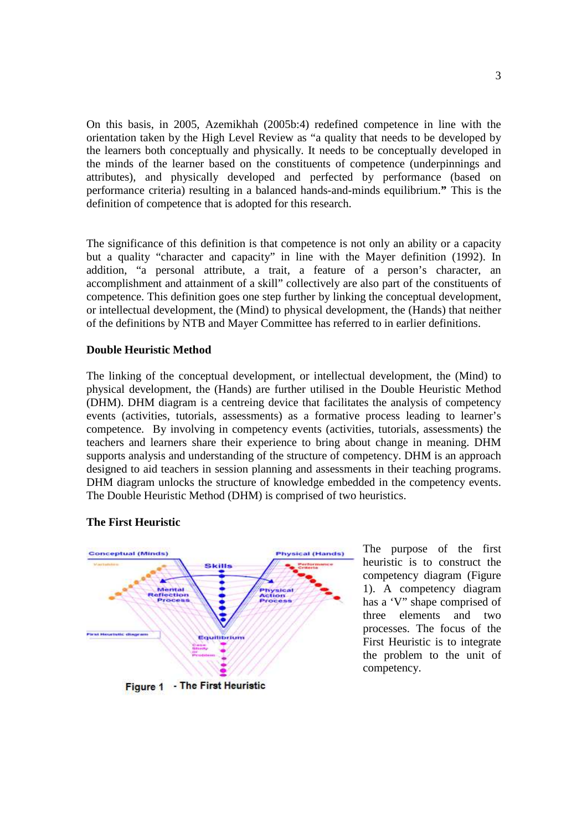On this basis, in 2005, Azemikhah (2005b:4) redefined competence in line with the orientation taken by the High Level Review as "a quality that needs to be developed by the learners both conceptually and physically. It needs to be conceptually developed in the minds of the learner based on the constituents of competence (underpinnings and attributes), and physically developed and perfected by performance (based on performance criteria) resulting in a balanced hands-and-minds equilibrium.**"** This is the definition of competence that is adopted for this research.

The significance of this definition is that competence is not only an ability or a capacity but a quality "character and capacity" in line with the Mayer definition (1992). In addition, "a personal attribute, a trait, a feature of a person's character, an accomplishment and attainment of a skill" collectively are also part of the constituents of competence. This definition goes one step further by linking the conceptual development, or intellectual development, the (Mind) to physical development, the (Hands) that neither of the definitions by NTB and Mayer Committee has referred to in earlier definitions.

## **Double Heuristic Method**

The linking of the conceptual development, or intellectual development, the (Mind) to physical development, the (Hands) are further utilised in the Double Heuristic Method (DHM). DHM diagram is a centreing device that facilitates the analysis of competency events (activities, tutorials, assessments) as a formative process leading to learner's competence. By involving in competency events (activities, tutorials, assessments) the teachers and learners share their experience to bring about change in meaning. DHM supports analysis and understanding of the structure of competency. DHM is an approach designed to aid teachers in session planning and assessments in their teaching programs. DHM diagram unlocks the structure of knowledge embedded in the competency events. The Double Heuristic Method (DHM) is comprised of two heuristics.

## **The First Heuristic**



The purpose of the first heuristic is to construct the competency diagram (Figure 1). A competency diagram has a 'V" shape comprised of three elements and two processes. The focus of the First Heuristic is to integrate the problem to the unit of competency.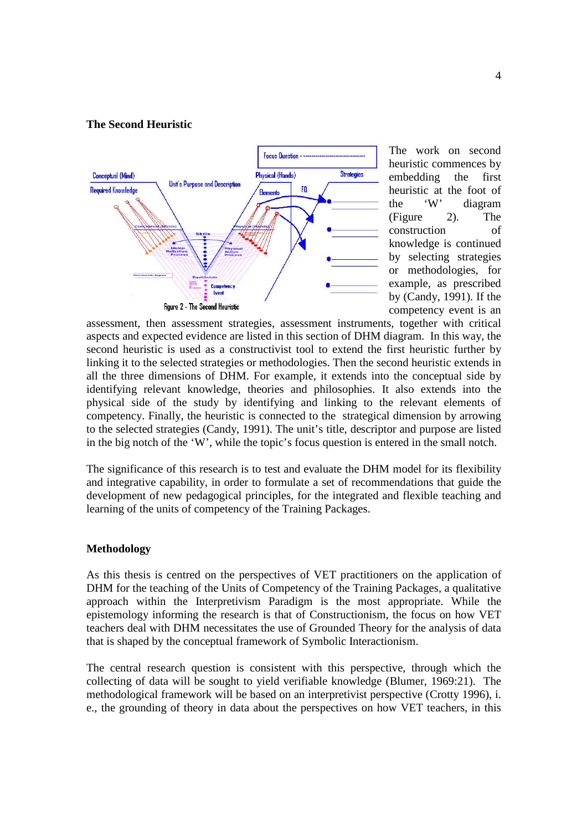## **The Second Heuristic**



The work on second heuristic commences by embedding the first heuristic at the foot of the 'W' diagram (Figure 2). The construction of knowledge is continued by selecting strategies or methodologies, for example, as prescribed by (Candy, 1991). If the competency event is an

assessment, then assessment strategies, assessment instruments, together with critical aspects and expected evidence are listed in this section of DHM diagram. In this way, the second heuristic is used as a constructivist tool to extend the first heuristic further by linking it to the selected strategies or methodologies. Then the second heuristic extends in all the three dimensions of DHM. For example, it extends into the conceptual side by identifying relevant knowledge, theories and philosophies. It also extends into the physical side of the study by identifying and linking to the relevant elements of competency. Finally, the heuristic is connected to the strategical dimension by arrowing to the selected strategies (Candy, 1991). The unit's title, descriptor and purpose are listed in the big notch of the 'W', while the topic's focus question is entered in the small notch.

The significance of this research is to test and evaluate the DHM model for its flexibility and integrative capability, in order to formulate a set of recommendations that guide the development of new pedagogical principles, for the integrated and flexible teaching and learning of the units of competency of the Training Packages.

### **Methodology**

As this thesis is centred on the perspectives of VET practitioners on the application of DHM for the teaching of the Units of Competency of the Training Packages, a qualitative approach within the Interpretivism Paradigm is the most appropriate. While the epistemology informing the research is that of Constructionism, the focus on how VET teachers deal with DHM necessitates the use of Grounded Theory for the analysis of data that is shaped by the conceptual framework of Symbolic Interactionism.

The central research question is consistent with this perspective, through which the collecting of data will be sought to yield verifiable knowledge (Blumer, 1969:21). The methodological framework will be based on an interpretivist perspective (Crotty 1996), i. e., the grounding of theory in data about the perspectives on how VET teachers, in this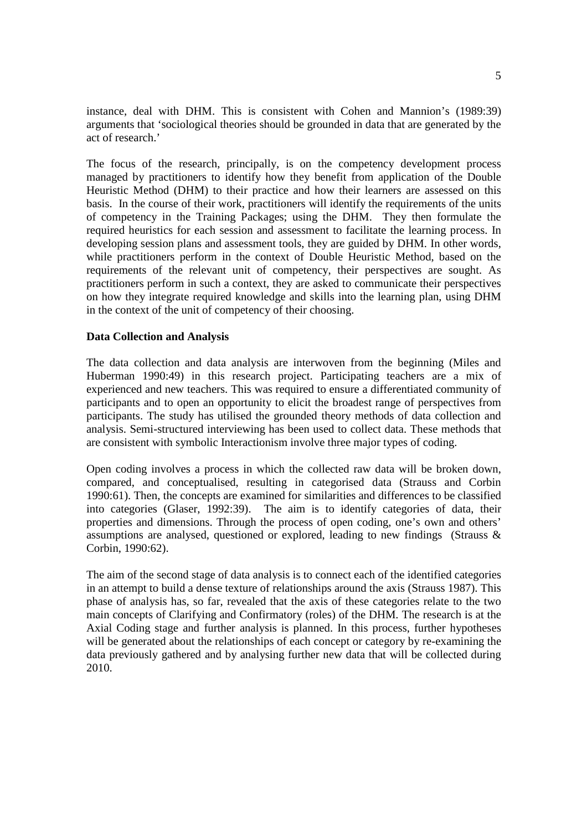instance, deal with DHM. This is consistent with Cohen and Mannion's (1989:39) arguments that 'sociological theories should be grounded in data that are generated by the act of research.'

The focus of the research, principally, is on the competency development process managed by practitioners to identify how they benefit from application of the Double Heuristic Method (DHM) to their practice and how their learners are assessed on this basis. In the course of their work, practitioners will identify the requirements of the units of competency in the Training Packages; using the DHM. They then formulate the required heuristics for each session and assessment to facilitate the learning process. In developing session plans and assessment tools, they are guided by DHM. In other words, while practitioners perform in the context of Double Heuristic Method, based on the requirements of the relevant unit of competency, their perspectives are sought. As practitioners perform in such a context, they are asked to communicate their perspectives on how they integrate required knowledge and skills into the learning plan, using DHM in the context of the unit of competency of their choosing.

## **Data Collection and Analysis**

The data collection and data analysis are interwoven from the beginning (Miles and Huberman 1990:49) in this research project. Participating teachers are a mix of experienced and new teachers. This was required to ensure a differentiated community of participants and to open an opportunity to elicit the broadest range of perspectives from participants. The study has utilised the grounded theory methods of data collection and analysis. Semi-structured interviewing has been used to collect data. These methods that are consistent with symbolic Interactionism involve three major types of coding.

Open coding involves a process in which the collected raw data will be broken down, compared, and conceptualised, resulting in categorised data (Strauss and Corbin 1990:61). Then, the concepts are examined for similarities and differences to be classified into categories (Glaser, 1992:39). The aim is to identify categories of data, their properties and dimensions. Through the process of open coding, one's own and others' assumptions are analysed, questioned or explored, leading to new findings (Strauss & Corbin, 1990:62).

The aim of the second stage of data analysis is to connect each of the identified categories in an attempt to build a dense texture of relationships around the axis (Strauss 1987). This phase of analysis has, so far, revealed that the axis of these categories relate to the two main concepts of Clarifying and Confirmatory (roles) of the DHM. The research is at the Axial Coding stage and further analysis is planned. In this process, further hypotheses will be generated about the relationships of each concept or category by re-examining the data previously gathered and by analysing further new data that will be collected during 2010.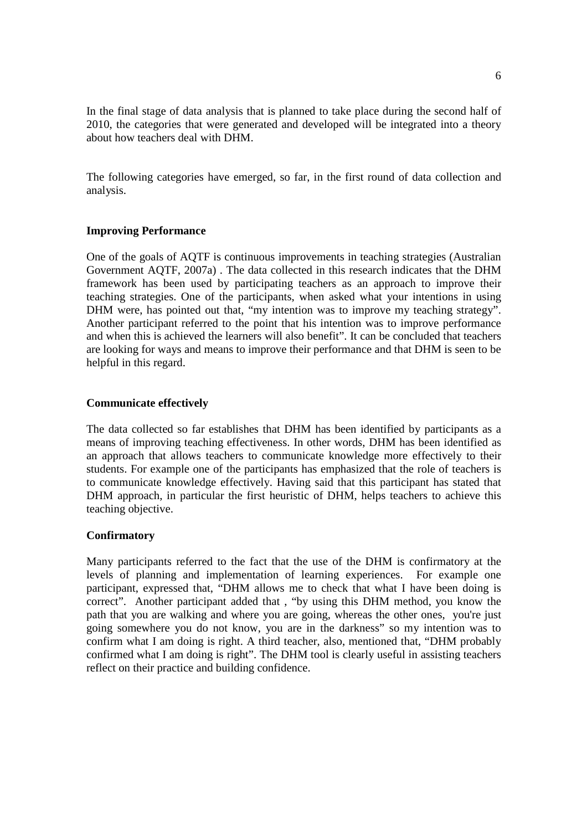In the final stage of data analysis that is planned to take place during the second half of 2010, the categories that were generated and developed will be integrated into a theory about how teachers deal with DHM.

The following categories have emerged, so far, in the first round of data collection and analysis.

## **Improving Performance**

One of the goals of AQTF is continuous improvements in teaching strategies (Australian Government AQTF, 2007a) . The data collected in this research indicates that the DHM framework has been used by participating teachers as an approach to improve their teaching strategies. One of the participants, when asked what your intentions in using DHM were, has pointed out that, "my intention was to improve my teaching strategy". Another participant referred to the point that his intention was to improve performance and when this is achieved the learners will also benefit". It can be concluded that teachers are looking for ways and means to improve their performance and that DHM is seen to be helpful in this regard.

## **Communicate effectively**

The data collected so far establishes that DHM has been identified by participants as a means of improving teaching effectiveness. In other words, DHM has been identified as an approach that allows teachers to communicate knowledge more effectively to their students. For example one of the participants has emphasized that the role of teachers is to communicate knowledge effectively. Having said that this participant has stated that DHM approach, in particular the first heuristic of DHM, helps teachers to achieve this teaching objective.

## **Confirmatory**

Many participants referred to the fact that the use of the DHM is confirmatory at the levels of planning and implementation of learning experiences. For example one participant, expressed that, "DHM allows me to check that what I have been doing is correct". Another participant added that , "by using this DHM method, you know the path that you are walking and where you are going, whereas the other ones, you're just going somewhere you do not know, you are in the darkness" so my intention was to confirm what I am doing is right. A third teacher, also, mentioned that, "DHM probably confirmed what I am doing is right". The DHM tool is clearly useful in assisting teachers reflect on their practice and building confidence.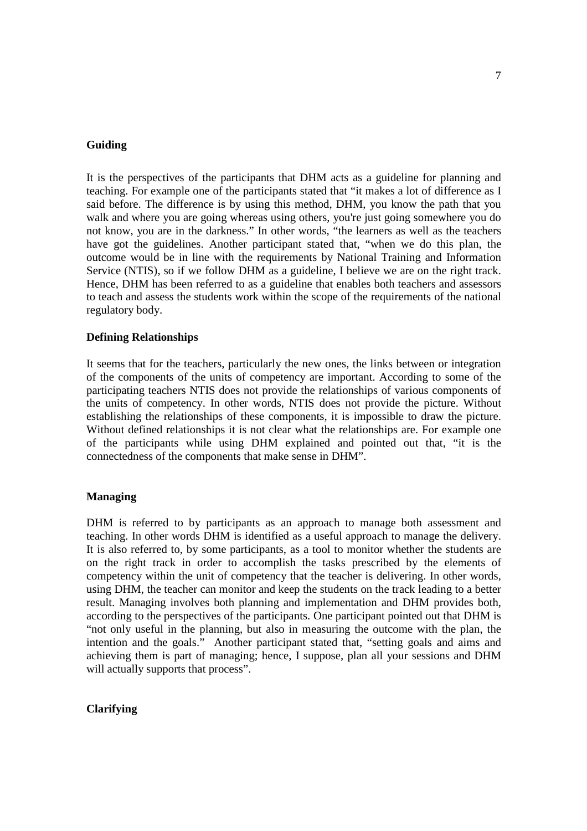### **Guiding**

It is the perspectives of the participants that DHM acts as a guideline for planning and teaching. For example one of the participants stated that "it makes a lot of difference as I said before. The difference is by using this method, DHM, you know the path that you walk and where you are going whereas using others, you're just going somewhere you do not know, you are in the darkness." In other words, "the learners as well as the teachers have got the guidelines. Another participant stated that, "when we do this plan, the outcome would be in line with the requirements by National Training and Information Service (NTIS), so if we follow DHM as a guideline, I believe we are on the right track. Hence, DHM has been referred to as a guideline that enables both teachers and assessors to teach and assess the students work within the scope of the requirements of the national regulatory body.

#### **Defining Relationships**

It seems that for the teachers, particularly the new ones, the links between or integration of the components of the units of competency are important. According to some of the participating teachers NTIS does not provide the relationships of various components of the units of competency. In other words, NTIS does not provide the picture. Without establishing the relationships of these components, it is impossible to draw the picture. Without defined relationships it is not clear what the relationships are. For example one of the participants while using DHM explained and pointed out that, "it is the connectedness of the components that make sense in DHM".

## **Managing**

DHM is referred to by participants as an approach to manage both assessment and teaching. In other words DHM is identified as a useful approach to manage the delivery. It is also referred to, by some participants, as a tool to monitor whether the students are on the right track in order to accomplish the tasks prescribed by the elements of competency within the unit of competency that the teacher is delivering. In other words, using DHM, the teacher can monitor and keep the students on the track leading to a better result. Managing involves both planning and implementation and DHM provides both, according to the perspectives of the participants. One participant pointed out that DHM is "not only useful in the planning, but also in measuring the outcome with the plan, the intention and the goals." Another participant stated that, "setting goals and aims and achieving them is part of managing; hence, I suppose, plan all your sessions and DHM will actually supports that process".

# **Clarifying**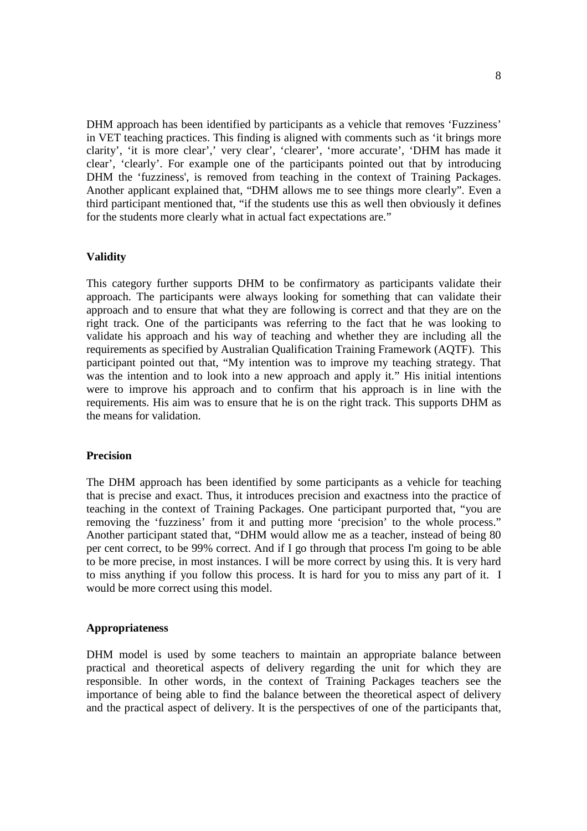DHM approach has been identified by participants as a vehicle that removes 'Fuzziness' in VET teaching practices. This finding is aligned with comments such as 'it brings more clarity', 'it is more clear',' very clear', 'clearer', 'more accurate', 'DHM has made it clear', 'clearly'. For example one of the participants pointed out that by introducing DHM the 'fuzziness', is removed from teaching in the context of Training Packages. Another applicant explained that, "DHM allows me to see things more clearly". Even a third participant mentioned that, "if the students use this as well then obviously it defines for the students more clearly what in actual fact expectations are."

#### **Validity**

This category further supports DHM to be confirmatory as participants validate their approach. The participants were always looking for something that can validate their approach and to ensure that what they are following is correct and that they are on the right track. One of the participants was referring to the fact that he was looking to validate his approach and his way of teaching and whether they are including all the requirements as specified by Australian Qualification Training Framework (AQTF). This participant pointed out that, "My intention was to improve my teaching strategy. That was the intention and to look into a new approach and apply it." His initial intentions were to improve his approach and to confirm that his approach is in line with the requirements. His aim was to ensure that he is on the right track. This supports DHM as the means for validation.

## **Precision**

The DHM approach has been identified by some participants as a vehicle for teaching that is precise and exact. Thus, it introduces precision and exactness into the practice of teaching in the context of Training Packages. One participant purported that, "you are removing the 'fuzziness' from it and putting more 'precision' to the whole process." Another participant stated that, "DHM would allow me as a teacher, instead of being 80 per cent correct, to be 99% correct. And if I go through that process I'm going to be able to be more precise, in most instances. I will be more correct by using this. It is very hard to miss anything if you follow this process. It is hard for you to miss any part of it. I would be more correct using this model.

## **Appropriateness**

DHM model is used by some teachers to maintain an appropriate balance between practical and theoretical aspects of delivery regarding the unit for which they are responsible. In other words, in the context of Training Packages teachers see the importance of being able to find the balance between the theoretical aspect of delivery and the practical aspect of delivery. It is the perspectives of one of the participants that,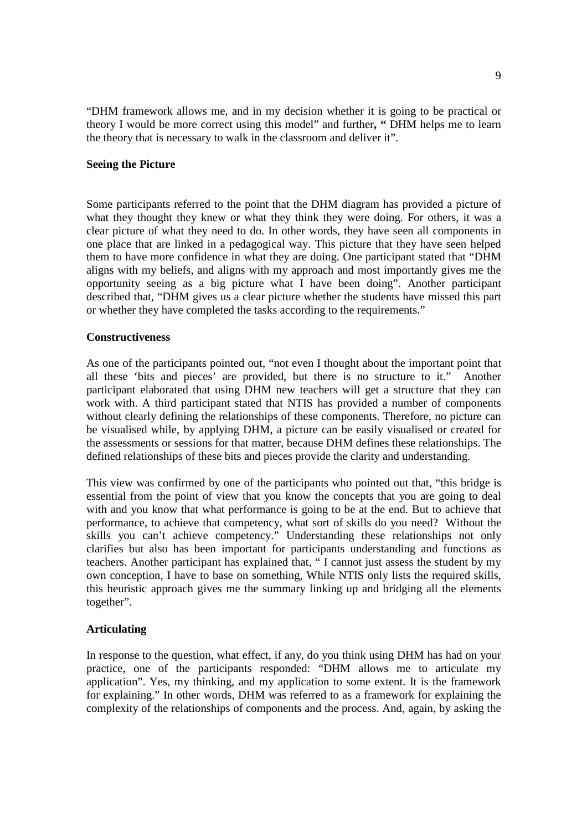"DHM framework allows me, and in my decision whether it is going to be practical or theory I would be more correct using this model" and further**, "** DHM helps me to learn the theory that is necessary to walk in the classroom and deliver it".

### **Seeing the Picture**

Some participants referred to the point that the DHM diagram has provided a picture of what they thought they knew or what they think they were doing. For others, it was a clear picture of what they need to do. In other words, they have seen all components in one place that are linked in a pedagogical way. This picture that they have seen helped them to have more confidence in what they are doing. One participant stated that "DHM aligns with my beliefs, and aligns with my approach and most importantly gives me the opportunity seeing as a big picture what I have been doing". Another participant described that, "DHM gives us a clear picture whether the students have missed this part or whether they have completed the tasks according to the requirements."

#### **Constructiveness**

As one of the participants pointed out, "not even I thought about the important point that all these 'bits and pieces' are provided, but there is no structure to it." Another participant elaborated that using DHM new teachers will get a structure that they can work with. A third participant stated that NTIS has provided a number of components without clearly defining the relationships of these components. Therefore, no picture can be visualised while, by applying DHM, a picture can be easily visualised or created for the assessments or sessions for that matter, because DHM defines these relationships. The defined relationships of these bits and pieces provide the clarity and understanding.

This view was confirmed by one of the participants who pointed out that, "this bridge is essential from the point of view that you know the concepts that you are going to deal with and you know that what performance is going to be at the end. But to achieve that performance, to achieve that competency, what sort of skills do you need? Without the skills you can't achieve competency." Understanding these relationships not only clarifies but also has been important for participants understanding and functions as teachers. Another participant has explained that, " I cannot just assess the student by my own conception, I have to base on something, While NTIS only lists the required skills, this heuristic approach gives me the summary linking up and bridging all the elements together".

## **Articulating**

In response to the question, what effect, if any, do you think using DHM has had on your practice, one of the participants responded: "DHM allows me to articulate my application". Yes, my thinking, and my application to some extent. It is the framework for explaining." In other words, DHM was referred to as a framework for explaining the complexity of the relationships of components and the process. And, again, by asking the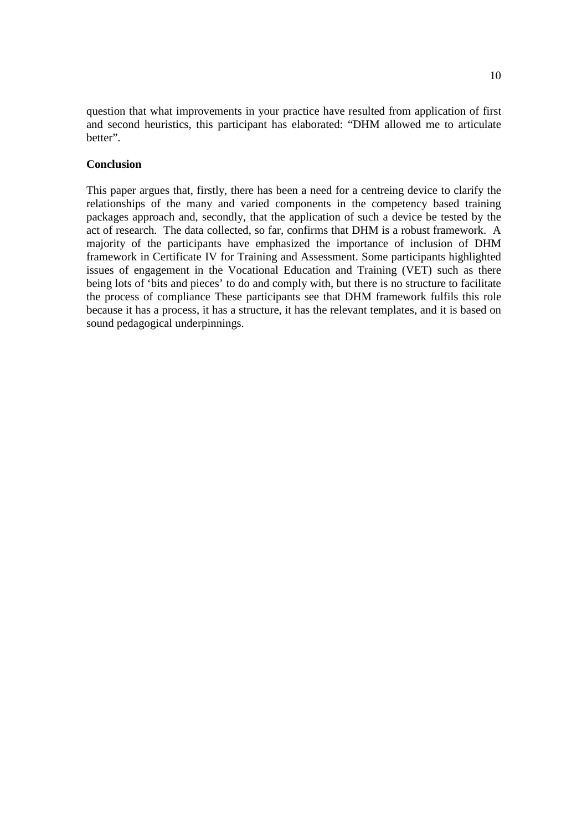question that what improvements in your practice have resulted from application of first and second heuristics, this participant has elaborated: "DHM allowed me to articulate better".

## **Conclusion**

This paper argues that, firstly, there has been a need for a centreing device to clarify the relationships of the many and varied components in the competency based training packages approach and, secondly, that the application of such a device be tested by the act of research. The data collected, so far, confirms that DHM is a robust framework. A majority of the participants have emphasized the importance of inclusion of DHM framework in Certificate IV for Training and Assessment. Some participants highlighted issues of engagement in the Vocational Education and Training (VET) such as there being lots of 'bits and pieces' to do and comply with, but there is no structure to facilitate the process of compliance These participants see that DHM framework fulfils this role because it has a process, it has a structure, it has the relevant templates, and it is based on sound pedagogical underpinnings.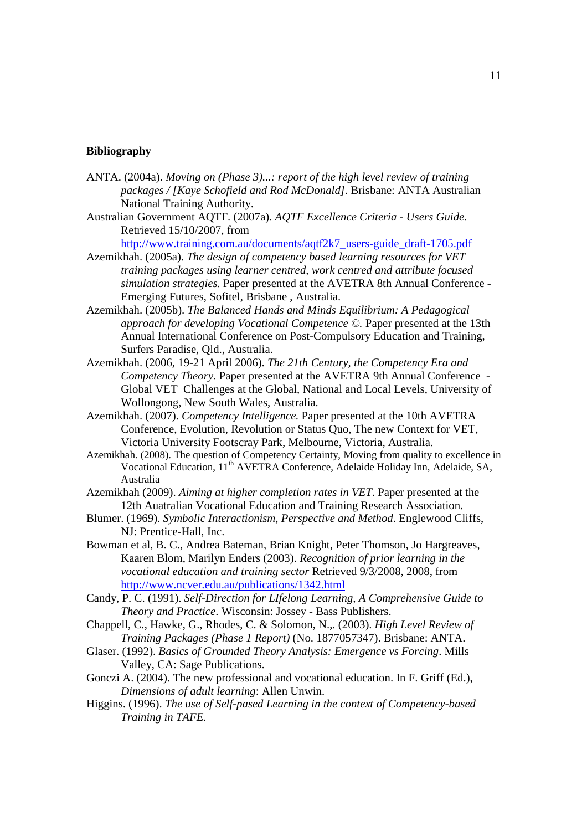### **Bibliography**

- ANTA. (2004a). *Moving on (Phase 3)...: report of the high level review of training packages / [Kaye Schofield and Rod McDonald].* Brisbane: ANTA Australian National Training Authority.
- Australian Government AQTF. (2007a). *AQTF Excellence Criteria Users Guide*. Retrieved 15/10/2007, from

http://www.training.com.au/documents/aqtf2k7\_users-guide\_draft-1705.pdf

- Azemikhah. (2005a). *The design of competency based learning resources for VET training packages using learner centred, work centred and attribute focused simulation strategies.* Paper presented at the AVETRA 8th Annual Conference - Emerging Futures, Sofitel, Brisbane , Australia.
- Azemikhah. (2005b). *The Balanced Hands and Minds Equilibrium: A Pedagogical approach for developing Vocational Competence ©.* Paper presented at the 13th Annual International Conference on Post-Compulsory Education and Training, Surfers Paradise, Qld., Australia.
- Azemikhah. (2006, 19-21 April 2006). *The 21th Century, the Competency Era and Competency Theory.* Paper presented at the AVETRA 9th Annual Conference - Global VET Challenges at the Global, National and Local Levels, University of Wollongong, New South Wales, Australia.
- Azemikhah. (2007). *Competency Intelligence.* Paper presented at the 10th AVETRA Conference, Evolution, Revolution or Status Quo, The new Context for VET, Victoria University Footscray Park, Melbourne, Victoria, Australia.
- Azemikhah. (2008). The question of Competency Certainty, Moving from quality to excellence in Vocational Education, 11<sup>th</sup> AVETRA Conference, Adelaide Holiday Inn, Adelaide, SA, Australia
- Azemikhah (2009). *Aiming at higher completion rates in VET*. Paper presented at the 12th Auatralian Vocational Education and Training Research Association.
- Blumer. (1969). *Symbolic Interactionism, Perspective and Method*. Englewood Cliffs, NJ: Prentice-Hall, Inc.
- Bowman et al, B. C., Andrea Bateman, Brian Knight, Peter Thomson, Jo Hargreaves, Kaaren Blom, Marilyn Enders (2003). *Recognition of prior learning in the vocational education and training sector* Retrieved 9/3/2008, 2008, from http://www.ncver.edu.au/publications/1342.html
- Candy, P. C. (1991). *Self-Direction for LIfelong Learning, A Comprehensive Guide to Theory and Practice*. Wisconsin: Jossey - Bass Publishers.
- Chappell, C., Hawke, G., Rhodes, C. & Solomon, N.,. (2003). *High Level Review of Training Packages (Phase 1 Report)* (No. 1877057347). Brisbane: ANTA.
- Glaser. (1992). *Basics of Grounded Theory Analysis: Emergence vs Forcing*. Mills Valley, CA: Sage Publications.
- Gonczi A. (2004). The new professional and vocational education. In F. Griff (Ed.), *Dimensions of adult learning*: Allen Unwin.
- Higgins. (1996). *The use of Self-pased Learning in the context of Competency-based Training in TAFE.*